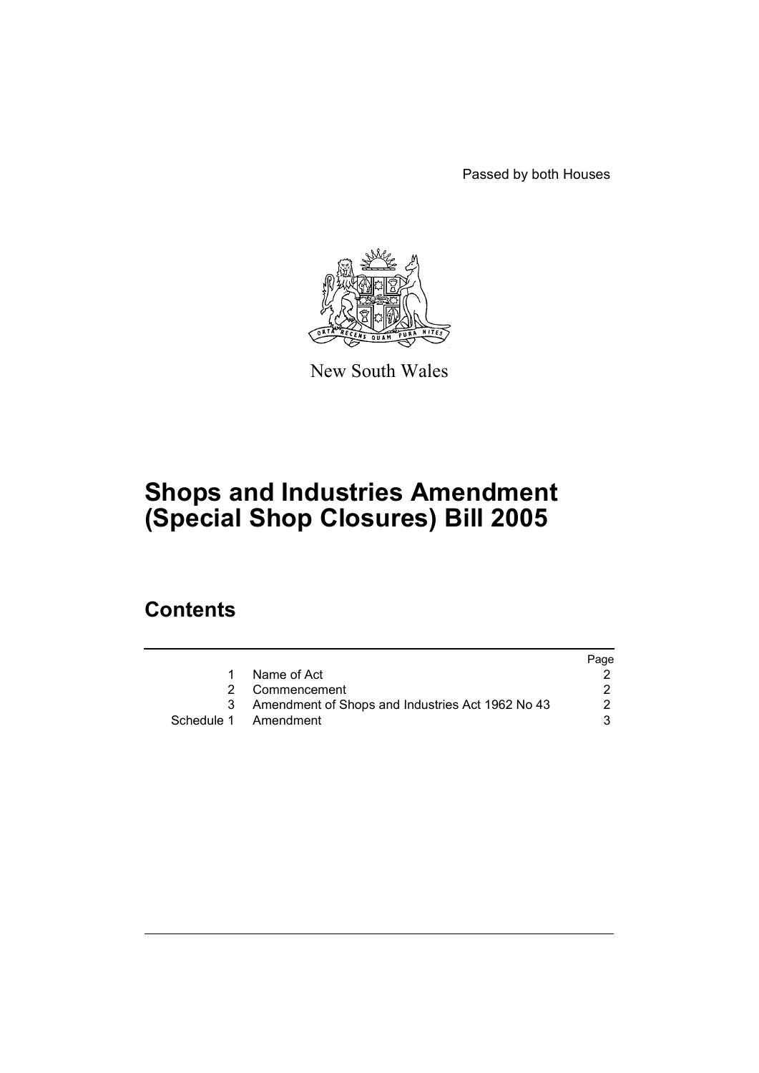Passed by both Houses



New South Wales

# **Shops and Industries Amendment (Special Shop Closures) Bill 2005**

## **Contents**

|   |                                                    | Page |
|---|----------------------------------------------------|------|
| 1 | Name of Act                                        |      |
|   | 2 Commencement                                     |      |
|   | 3 Amendment of Shops and Industries Act 1962 No 43 | 2    |
|   | Schedule 1 Amendment                               | વ    |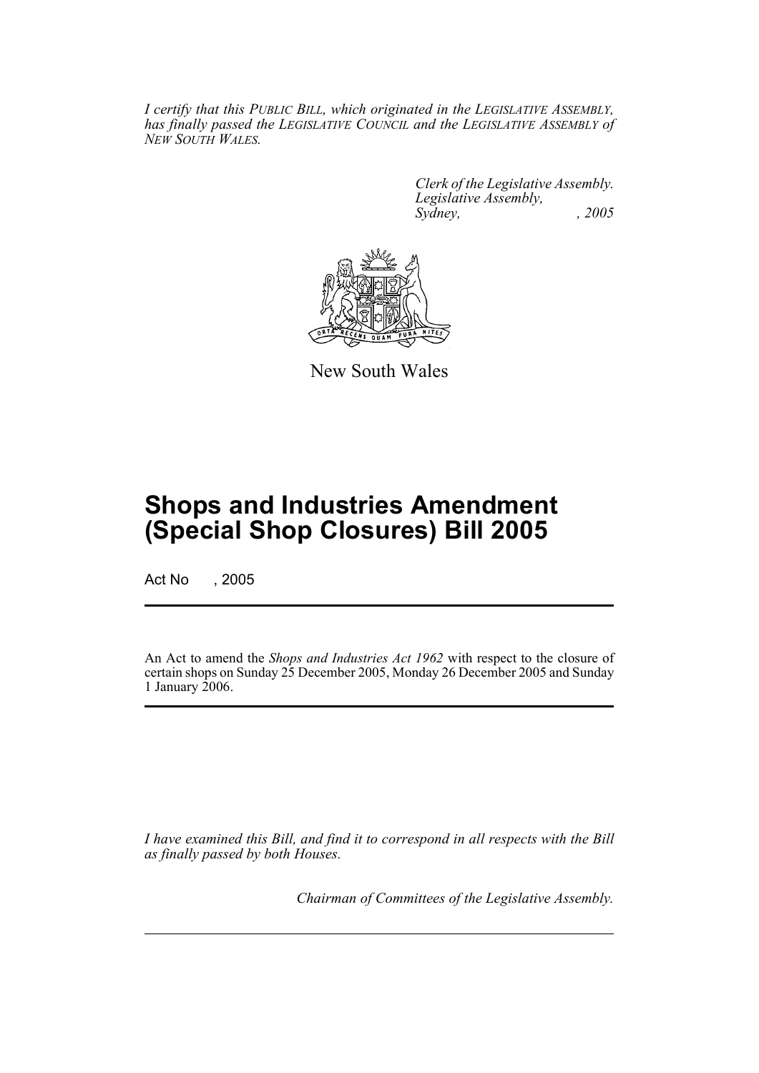*I certify that this PUBLIC BILL, which originated in the LEGISLATIVE ASSEMBLY, has finally passed the LEGISLATIVE COUNCIL and the LEGISLATIVE ASSEMBLY of NEW SOUTH WALES.*

> *Clerk of the Legislative Assembly. Legislative Assembly, Sydney, , 2005*



New South Wales

## **Shops and Industries Amendment (Special Shop Closures) Bill 2005**

Act No , 2005

An Act to amend the *Shops and Industries Act 1962* with respect to the closure of certain shops on Sunday 25 December 2005, Monday 26 December 2005 and Sunday 1 January 2006.

*I have examined this Bill, and find it to correspond in all respects with the Bill as finally passed by both Houses.*

*Chairman of Committees of the Legislative Assembly.*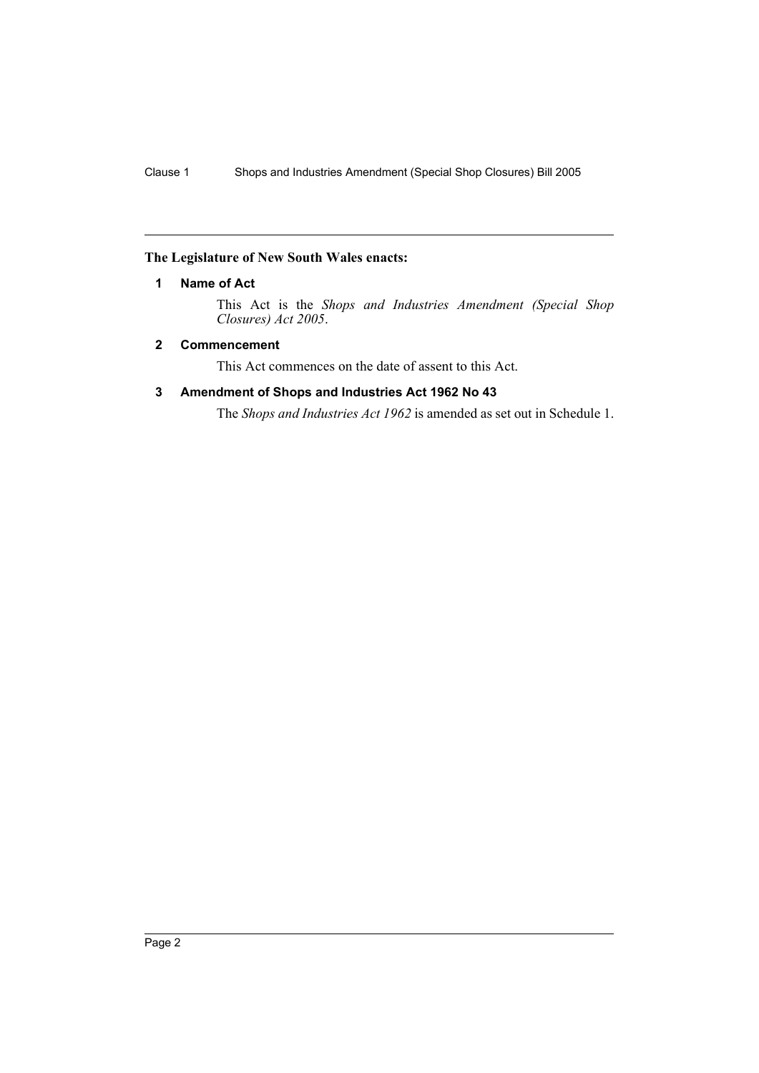### **The Legislature of New South Wales enacts:**

### **1 Name of Act**

This Act is the *Shops and Industries Amendment (Special Shop Closures) Act 2005*.

### **2 Commencement**

This Act commences on the date of assent to this Act.

### **3 Amendment of Shops and Industries Act 1962 No 43**

The *Shops and Industries Act 1962* is amended as set out in Schedule 1.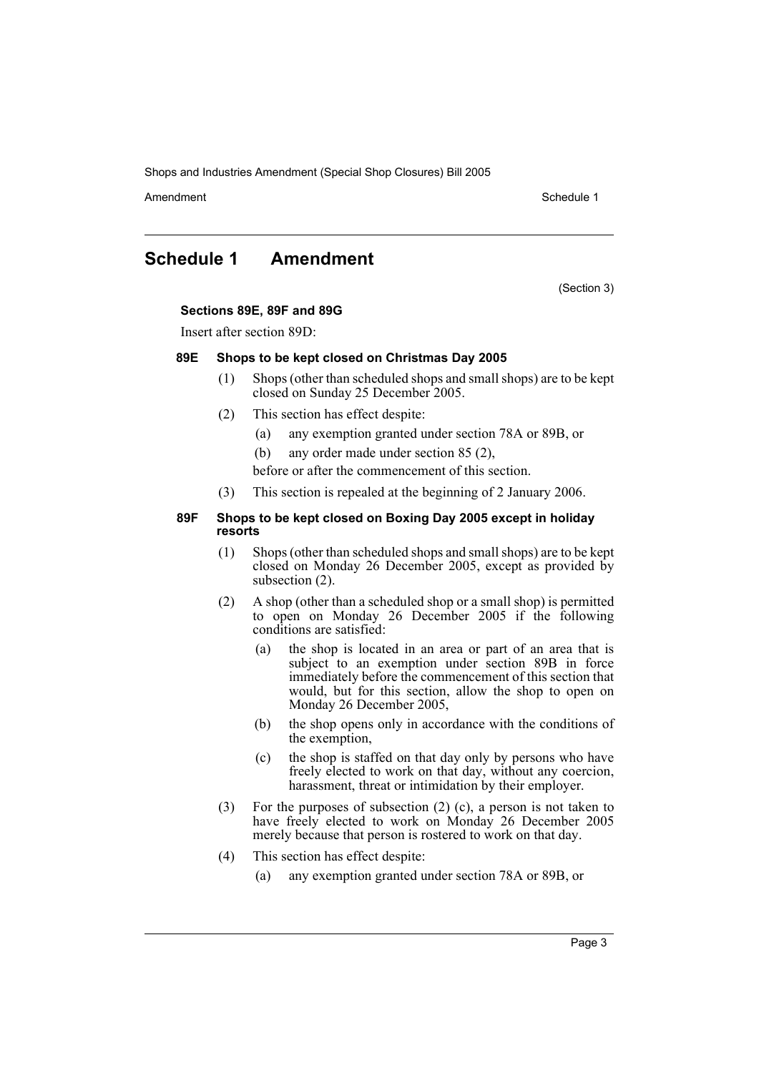Shops and Industries Amendment (Special Shop Closures) Bill 2005

Amendment **Amendment** Schedule 1

## **Schedule 1 Amendment**

(Section 3)

### **Sections 89E, 89F and 89G**

Insert after section 89D:

#### **89E Shops to be kept closed on Christmas Day 2005**

- (1) Shops (other than scheduled shops and small shops) are to be kept closed on Sunday 25 December 2005.
- (2) This section has effect despite:
	- (a) any exemption granted under section 78A or 89B, or
	- (b) any order made under section 85 (2),

before or after the commencement of this section.

(3) This section is repealed at the beginning of 2 January 2006.

#### **89F Shops to be kept closed on Boxing Day 2005 except in holiday resorts**

- (1) Shops (other than scheduled shops and small shops) are to be kept closed on Monday 26 December 2005, except as provided by subsection (2).
- (2) A shop (other than a scheduled shop or a small shop) is permitted to open on Monday 26 December 2005 if the following conditions are satisfied:
	- (a) the shop is located in an area or part of an area that is subject to an exemption under section 89B in force immediately before the commencement of this section that would, but for this section, allow the shop to open on Monday 26 December 2005,
	- (b) the shop opens only in accordance with the conditions of the exemption,
	- (c) the shop is staffed on that day only by persons who have freely elected to work on that day, without any coercion, harassment, threat or intimidation by their employer.
- (3) For the purposes of subsection (2) (c), a person is not taken to have freely elected to work on Monday 26 December 2005 merely because that person is rostered to work on that day.
- (4) This section has effect despite:
	- (a) any exemption granted under section 78A or 89B, or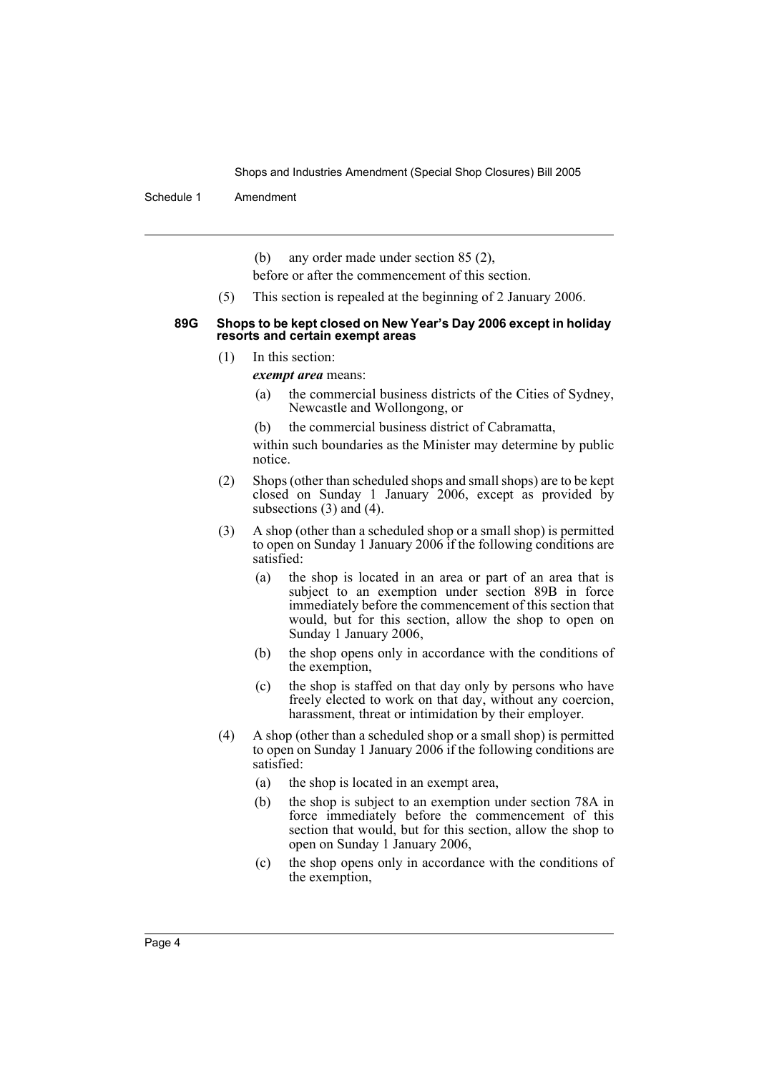Shops and Industries Amendment (Special Shop Closures) Bill 2005

Schedule 1 Amendment

(b) any order made under section 85 (2),

before or after the commencement of this section.

(5) This section is repealed at the beginning of 2 January 2006.

#### **89G Shops to be kept closed on New Year's Day 2006 except in holiday resorts and certain exempt areas**

- (1) In this section:
	- *exempt area* means:
		- (a) the commercial business districts of the Cities of Sydney, Newcastle and Wollongong, or
		- (b) the commercial business district of Cabramatta,

within such boundaries as the Minister may determine by public notice.

- (2) Shops (other than scheduled shops and small shops) are to be kept closed on Sunday 1 January 2006, except as provided by subsections (3) and (4).
- (3) A shop (other than a scheduled shop or a small shop) is permitted to open on Sunday 1 January 2006 if the following conditions are satisfied:
	- (a) the shop is located in an area or part of an area that is subject to an exemption under section 89B in force immediately before the commencement of this section that would, but for this section, allow the shop to open on Sunday 1 January 2006,
	- (b) the shop opens only in accordance with the conditions of the exemption,
	- (c) the shop is staffed on that day only by persons who have freely elected to work on that day, without any coercion, harassment, threat or intimidation by their employer.
- (4) A shop (other than a scheduled shop or a small shop) is permitted to open on Sunday 1 January 2006 if the following conditions are satisfied:
	- (a) the shop is located in an exempt area,
	- (b) the shop is subject to an exemption under section 78A in force immediately before the commencement of this section that would, but for this section, allow the shop to open on Sunday 1 January 2006,
	- (c) the shop opens only in accordance with the conditions of the exemption,